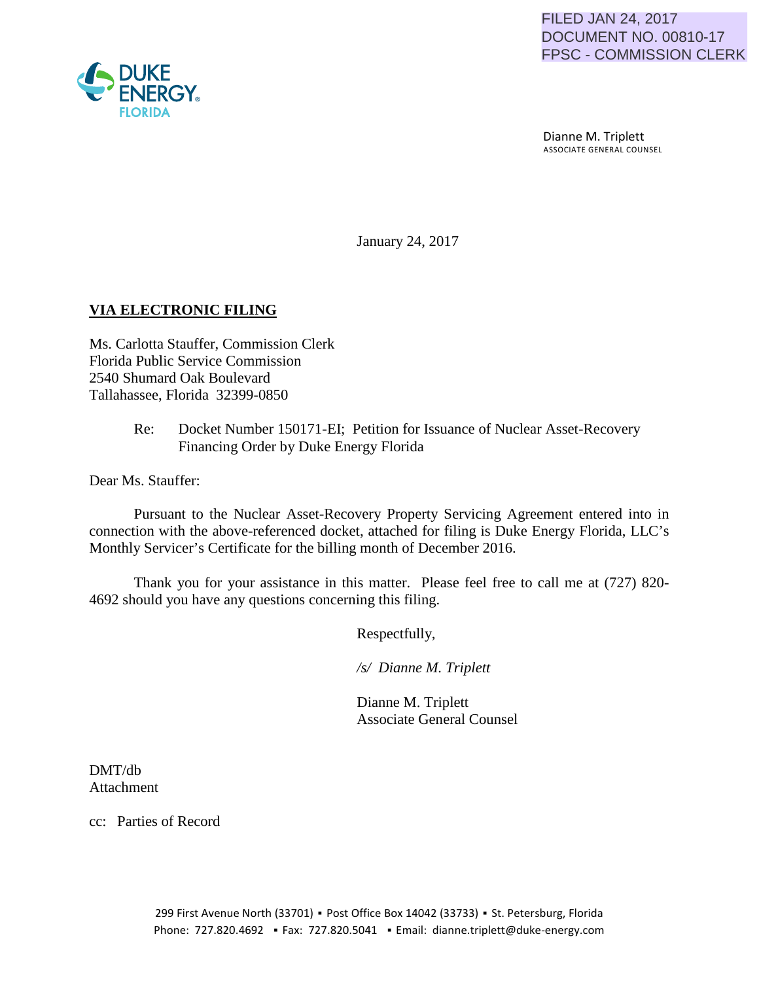

 Dianne M. Triplett ASSOCIATE GENERAL COUNSEL

January 24, 2017

# **VIA ELECTRONIC FILING**

Ms. Carlotta Stauffer, Commission Clerk Florida Public Service Commission 2540 Shumard Oak Boulevard Tallahassee, Florida 32399-0850

> Re: Docket Number 150171-EI; Petition for Issuance of Nuclear Asset-Recovery Financing Order by Duke Energy Florida

Dear Ms. Stauffer:

Pursuant to the Nuclear Asset-Recovery Property Servicing Agreement entered into in connection with the above-referenced docket, attached for filing is Duke Energy Florida, LLC's Monthly Servicer's Certificate for the billing month of December 2016.

Thank you for your assistance in this matter. Please feel free to call me at (727) 820- 4692 should you have any questions concerning this filing.

Respectfully,

 */s/ Dianne M. Triplett*

 Dianne M. Triplett Associate General Counsel

DMT/db Attachment

cc: Parties of Record

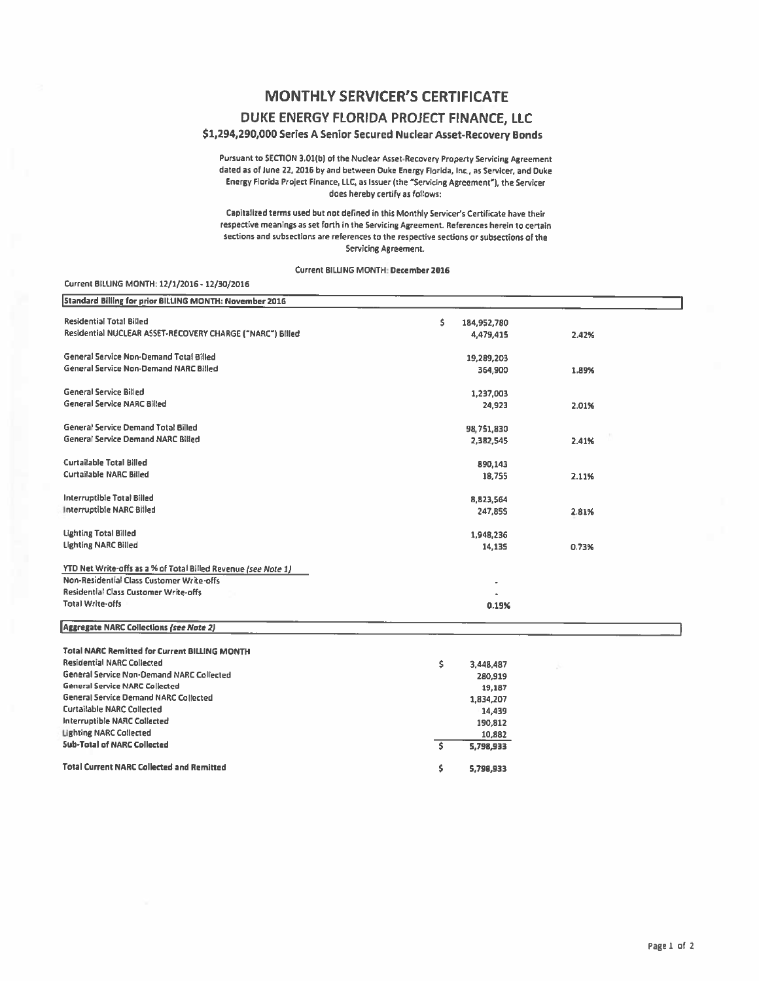## **MONTHLY SERVICER'S CERTIFICATE**

## DUKE ENERGY FLORIDA PROJECT FINANCE, LLC

### \$1,294,290,000 Series A Senior Secured Nuclear Asset-Recovery Bonds

Pursuant to SECTION 3.01(b) of the Nuclear Asset-Recovery Property Servicing Agreement dated as of June 22, 2016 by and between Duke Energy Florida, Inc., as Servicer, and Duke Energy Florida Project Finance, LLC, as Issuer (the "Servicing Agreement"), the Servicer does hereby certify as follows:

Capitalized terms used but not defined in this Monthly Servicer's Certificate have their respective meanings as set forth in the Servicing Agreement. References herein to certain sections and subsections are references to the respective sections or subsections of the Servicing Agreement,

Current BILLING MONTH: December 2016

#### Current BILLING MONTH: 12/1/2016 - 12/30/2016

| Standard Billing for prior BILLING MONTH: November 2016        |    |             |       |
|----------------------------------------------------------------|----|-------------|-------|
| <b>Residential Total Billed</b>                                | \$ | 184,952,780 |       |
| Residential NUCLEAR ASSET-RECOVERY CHARGE ("NARC") Billed      |    | 4,479,415   | 2.42% |
| General Service Non-Demand Total Billed                        |    | 19,289,203  |       |
| <b>General Service Non-Demand NARC Billed</b>                  |    | 364,900     | 1.89% |
| <b>General Service Billed</b>                                  |    | 1,237,003   |       |
| <b>General Service NARC Billed</b>                             |    | 24,923      | 2.01% |
| <b>General Service Demand Total Billed</b>                     |    | 98,751,830  |       |
| <b>General Service Demand NARC Billed</b>                      |    | 2,382,545   | 2.41% |
| <b>Curtailable Total Billed</b>                                |    | 890,143     |       |
| Curtailable NARC Billed                                        |    | 18,755      | 2.11% |
| Interruptible Total Billed                                     |    | 8,823,564   |       |
| Interruptible NARC Billed                                      |    | 247,855     | 2.81% |
| <b>Lighting Total Billed</b>                                   |    | 1,948,236   |       |
| <b>Lighting NARC Billed</b>                                    |    | 14,135      | 0.73% |
| YTD Net Write-offs as a % of Total Billed Revenue (see Note 1) |    |             |       |
| Non-Residential Class Customer Write-offs                      |    |             |       |
| <b>Residential Class Customer Write-offs</b>                   |    |             |       |
| <b>Total Write-offs</b>                                        |    | 0.19%       |       |
| <b>Aggregate NARC Collections (see Note 2)</b>                 |    |             |       |
| <b>Total NARC Remitted for Current BILLING MONTH</b>           |    |             |       |
| <b>Residential NARC Collected</b>                              | Ŝ. | 3,448,487   |       |
| General Service Non-Demand NARC Collected                      |    | 280,919     |       |
| <b>General Service NARC Collected</b>                          |    | 19,187      |       |
| <b>General Service Demand NARC Collected</b>                   |    | 1,834,207   |       |
| <b>Curtailable NARC Collected</b>                              |    | 14,439      |       |
| <b>Interruptible NARC Collected</b>                            |    | 190,812     |       |
| <b>Lighting NARC Collected</b>                                 |    | 10,882      |       |
| <b>Sub-Total of NARC Collected</b>                             | Ŝ. | 5,798,933   |       |
| <b>Total Current NARC Collected and Remitted</b>               | \$ | 5,798,933   |       |
|                                                                |    |             |       |